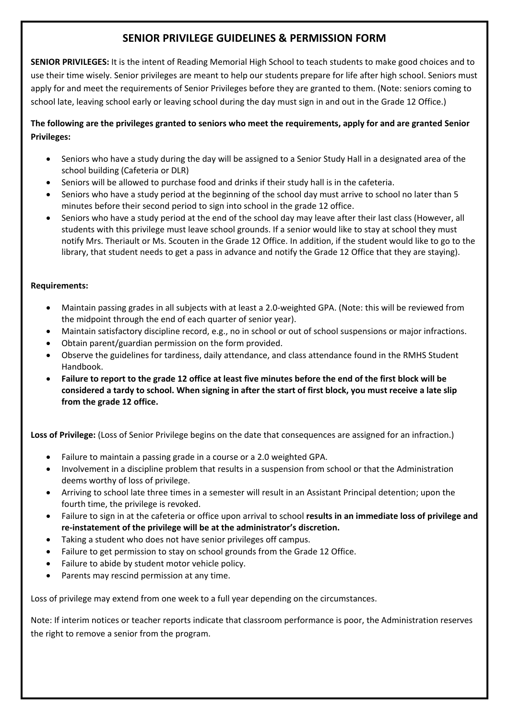## **SENIOR PRIVILEGE GUIDELINES & PERMISSION FORM**

**SENIOR PRIVILEGES:** It is the intent of Reading Memorial High School to teach students to make good choices and to use their time wisely. Senior privileges are meant to help our students prepare for life after high school. Seniors must apply for and meet the requirements of Senior Privileges before they are granted to them. (Note: seniors coming to school late, leaving school early or leaving school during the day must sign in and out in the Grade 12 Office.)

## **The following are the privileges granted to seniors who meet the requirements, apply for and are granted Senior Privileges:**

- Seniors who have a study during the day will be assigned to a Senior Study Hall in a designated area of the school building (Cafeteria or DLR)
- Seniors will be allowed to purchase food and drinks if their study hall is in the cafeteria.
- Seniors who have a study period at the beginning of the school day must arrive to school no later than 5 minutes before their second period to sign into school in the grade 12 office.
- Seniors who have a study period at the end of the school day may leave after their last class (However, all students with this privilege must leave school grounds. If a senior would like to stay at school they must notify Mrs. Theriault or Ms. Scouten in the Grade 12 Office. In addition, if the student would like to go to the library, that student needs to get a pass in advance and notify the Grade 12 Office that they are staying).

## **Requirements:**

- Maintain passing grades in all subjects with at least a 2.0-weighted GPA. (Note: this will be reviewed from the midpoint through the end of each quarter of senior year).
- Maintain satisfactory discipline record, e.g., no in school or out of school suspensions or major infractions.
- Obtain parent/guardian permission on the form provided.
- Observe the guidelines for tardiness, daily attendance, and class attendance found in the RMHS Student Handbook.
- **Failure to report to the grade 12 office at least five minutes before the end of the first block will be considered a tardy to school. When signing in after the start of first block, you must receive a late slip from the grade 12 office.**

**Loss of Privilege:** (Loss of Senior Privilege begins on the date that consequences are assigned for an infraction.)

- Failure to maintain a passing grade in a course or a 2.0 weighted GPA.
- Involvement in a discipline problem that results in a suspension from school or that the Administration deems worthy of loss of privilege.
- Arriving to school late three times in a semester will result in an Assistant Principal detention; upon the fourth time, the privilege is revoked.
- Failure to sign in at the cafeteria or office upon arrival to school **results in an immediate loss of privilege and re-instatement of the privilege will be at the administrator's discretion.**
- Taking a student who does not have senior privileges off campus.
- Failure to get permission to stay on school grounds from the Grade 12 Office.
- Failure to abide by student motor vehicle policy.
- Parents may rescind permission at any time.

Loss of privilege may extend from one week to a full year depending on the circumstances.

Note: If interim notices or teacher reports indicate that classroom performance is poor, the Administration reserves the right to remove a senior from the program.